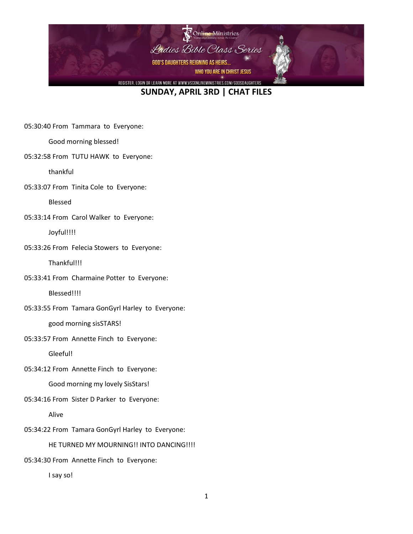

05:30:40 From Tammara to Everyone:

Good morning blessed!

05:32:58 From TUTU HAWK to Everyone:

thankful

05:33:07 From Tinita Cole to Everyone:

Blessed

05:33:14 From Carol Walker to Everyone:

Joyful!!!!

05:33:26 From Felecia Stowers to Everyone:

Thankful!!!

05:33:41 From Charmaine Potter to Everyone:

Blessed!!!!

05:33:55 From Tamara GonGyrl Harley to Everyone:

good morning sisSTARS!

05:33:57 From Annette Finch to Everyone:

Gleeful!

05:34:12 From Annette Finch to Everyone:

Good morning my lovely SisStars!

05:34:16 From Sister D Parker to Everyone:

Alive

05:34:22 From Tamara GonGyrl Harley to Everyone:

HE TURNED MY MOURNING!! INTO DANCING!!!!

05:34:30 From Annette Finch to Everyone:

I say so!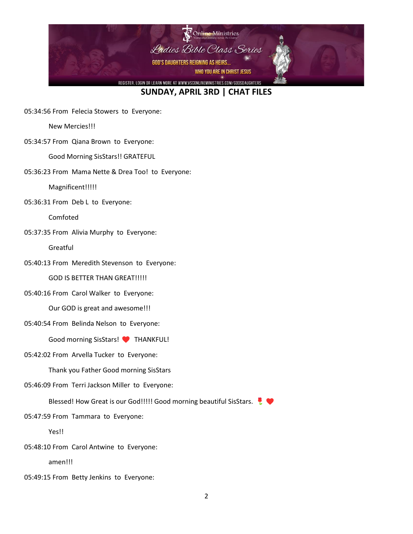

05:34:56 From Felecia Stowers to Everyone:

New Mercies!!!

05:34:57 From Qiana Brown to Everyone:

Good Morning SisStars!! GRATEFUL

05:36:23 From Mama Nette & Drea Too! to Everyone:

Magnificent!!!!!

05:36:31 From Deb L to Everyone:

Comfoted

05:37:35 From Alivia Murphy to Everyone:

Greatful

05:40:13 From Meredith Stevenson to Everyone:

GOD IS BETTER THAN GREAT!!!!!

05:40:16 From Carol Walker to Everyone:

Our GOD is great and awesome!!!

05:40:54 From Belinda Nelson to Everyone:

Good morning SisStars! THANKFUL!

05:42:02 From Arvella Tucker to Everyone:

Thank you Father Good morning SisStars

05:46:09 From Terri Jackson Miller to Everyone:

Blessed! How Great is our God!!!!! Good morning beautiful SisStars.

05:47:59 From Tammara to Everyone:

Yes!!

05:48:10 From Carol Antwine to Everyone:

amen!!!

05:49:15 From Betty Jenkins to Everyone: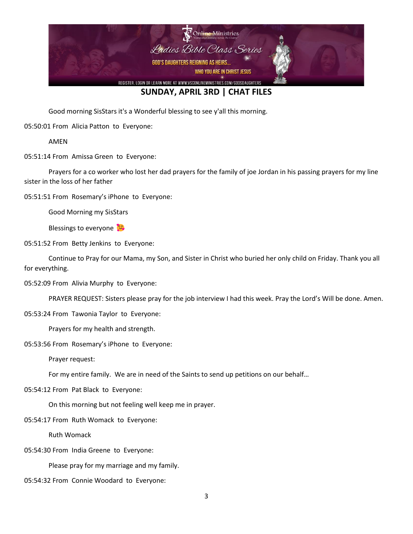

Good morning SisStars it's a Wonderful blessing to see y'all this morning.

05:50:01 From Alicia Patton to Everyone:

AMEN

05:51:14 From Amissa Green to Everyone:

Prayers for a co worker who lost her dad prayers for the family of joe Jordan in his passing prayers for my line sister in the loss of her father

05:51:51 From Rosemary's iPhone to Everyone:

Good Morning my SisStars

Blessings to everyone

05:51:52 From Betty Jenkins to Everyone:

Continue to Pray for our Mama, my Son, and Sister in Christ who buried her only child on Friday. Thank you all for everything.

05:52:09 From Alivia Murphy to Everyone:

PRAYER REQUEST: Sisters please pray for the job interview I had this week. Pray the Lord's Will be done. Amen.

05:53:24 From Tawonia Taylor to Everyone:

Prayers for my health and strength.

05:53:56 From Rosemary's iPhone to Everyone:

Prayer request:

For my entire family. We are in need of the Saints to send up petitions on our behalf…

05:54:12 From Pat Black to Everyone:

On this morning but not feeling well keep me in prayer.

05:54:17 From Ruth Womack to Everyone:

Ruth Womack

05:54:30 From India Greene to Everyone:

Please pray for my marriage and my family.

05:54:32 From Connie Woodard to Everyone: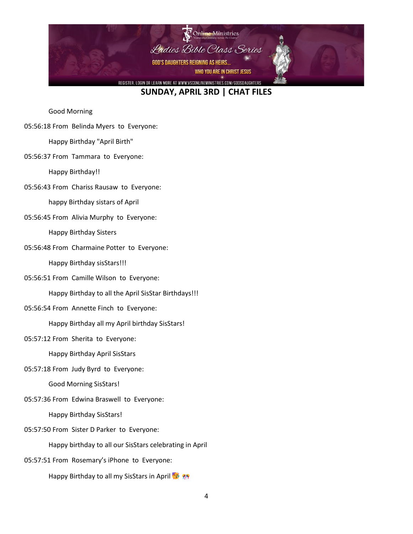

Good Morning

05:56:18 From Belinda Myers to Everyone:

Happy Birthday "April Birth"

05:56:37 From Tammara to Everyone:

Happy Birthday!!

05:56:43 From Chariss Rausaw to Everyone:

happy Birthday sistars of April

05:56:45 From Alivia Murphy to Everyone:

Happy Birthday Sisters

05:56:48 From Charmaine Potter to Everyone:

Happy Birthday sisStars!!!

05:56:51 From Camille Wilson to Everyone:

Happy Birthday to all the April SisStar Birthdays!!!

05:56:54 From Annette Finch to Everyone:

Happy Birthday all my April birthday SisStars!

05:57:12 From Sherita to Everyone:

Happy Birthday April SisStars

05:57:18 From Judy Byrd to Everyone:

Good Morning SisStars!

05:57:36 From Edwina Braswell to Everyone:

Happy Birthday SisStars!

05:57:50 From Sister D Parker to Everyone:

Happy birthday to all our SisStars celebrating in April

05:57:51 From Rosemary's iPhone to Everyone:

Happy Birthday to all my SisStars in April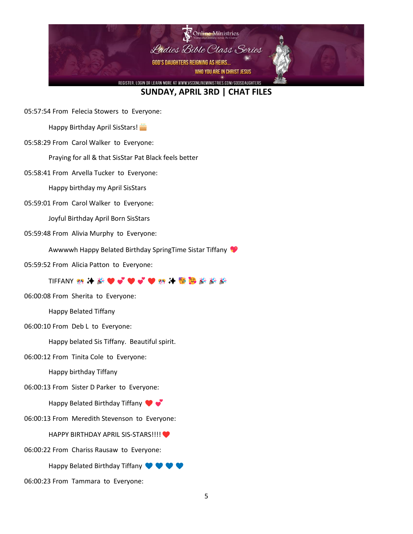

05:57:54 From Felecia Stowers to Everyone:

Happy Birthday April SisStars!

05:58:29 From Carol Walker to Everyone:

Praying for all & that SisStar Pat Black feels better

05:58:41 From Arvella Tucker to Everyone:

Happy birthday my April SisStars

05:59:01 From Carol Walker to Everyone:

Joyful Birthday April Born SisStars

05:59:48 From Alivia Murphy to Everyone:

Awwwwh Happy Belated Birthday SpringTime Sistar Tiffany

05:59:52 From Alicia Patton to Everyone:

TIFFANY 熱 ⊁ *装* ❤ ❤ ❤ ❤ ❤ ‰ ⊁ ❤ <mark>❤ ‰</mark> *爹 爹* 

06:00:08 From Sherita to Everyone:

Happy Belated Tiffany

06:00:10 From Deb L to Everyone:

Happy belated Sis Tiffany. Beautiful spirit.

06:00:12 From Tinita Cole to Everyone:

Happy birthday Tiffany

06:00:13 From Sister D Parker to Everyone:

Happy Belated Birthday Tiffany

06:00:13 From Meredith Stevenson to Everyone:

HAPPY BIRTHDAY APRIL SIS-STARS!!!!

06:00:22 From Chariss Rausaw to Everyone:

Happy Belated Birthday Tiffany  $\bullet \bullet \bullet$ 

06:00:23 From Tammara to Everyone: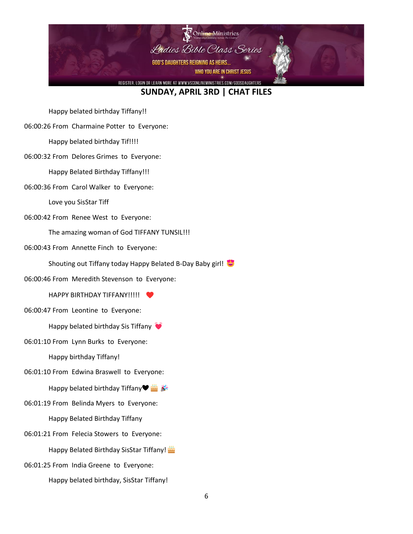

Happy belated birthday Tiffany!!

06:00:26 From Charmaine Potter to Everyone:

Happy belated birthday Tif!!!!

06:00:32 From Delores Grimes to Everyone:

Happy Belated Birthday Tiffany!!!

06:00:36 From Carol Walker to Everyone:

Love you SisStar Tiff

06:00:42 From Renee West to Everyone:

The amazing woman of God TIFFANY TUNSIL!!!

06:00:43 From Annette Finch to Everyone:

Shouting out Tiffany today Happy Belated B-Day Baby girl!

06:00:46 From Meredith Stevenson to Everyone:

HAPPY BIRTHDAY TIFFANY!!!!!

06:00:47 From Leontine to Everyone:

Happy belated birthday Sis Tiffany

06:01:10 From Lynn Burks to Everyone:

Happy birthday Tiffany!

06:01:10 From Edwina Braswell to Everyone:

Happy belated birthday Tiffany♥

- 06:01:19 From Belinda Myers to Everyone: Happy Belated Birthday Tiffany
- 06:01:21 From Felecia Stowers to Everyone:

Happy Belated Birthday SisStar Tiffany!

06:01:25 From India Greene to Everyone:

Happy belated birthday, SisStar Tiffany!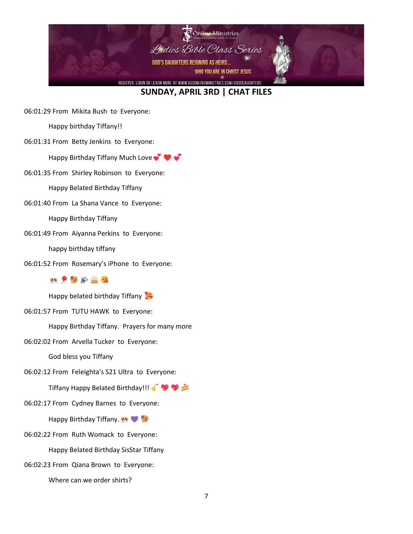

06:01:29 From Mikita Bush to Everyone:

Happy birthday Tiffany!!

06:01:31 From Betty Jenkins to Everyone:

Happy Birthday Tiffany Much Love  $\bullet$ 

06:01:35 From Shirley Robinson to Everyone:

Happy Belated Birthday Tiffany

06:01:40 From La Shana Vance to Everyone:

Happy Birthday Tiffany

06:01:49 From Aiyanna Perkins to Everyone:

happy birthday tiffany

06:01:52 From Rosemary's iPhone to Everyone:

#### 68 P 在 选 命

Happy belated birthday Tiffany

06:01:57 From TUTU HAWK to Everyone:

Happy Birthday Tiffany. Prayers for many more

06:02:02 From Arvella Tucker to Everyone:

God bless you Tiffany

06:02:12 From Feleighta's S21 Ultra to Everyone:

Tiffany Happy Belated Birthday!!!

06:02:17 From Cydney Barnes to Everyone:

**Happy Birthday Tiffany.** 

06:02:22 From Ruth Womack to Everyone:

Happy Belated Birthday SisStar Tiffany

06:02:23 From Qiana Brown to Everyone:

Where can we order shirts?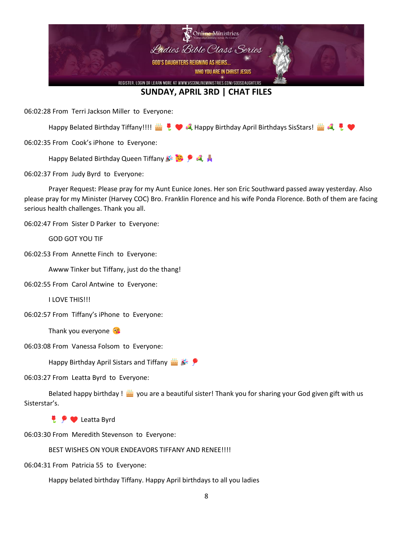

06:02:28 From Terri Jackson Miller to Everyone:

Happy Belated Birthday Tiffany!!!! 当!♥ 乳 Happy Birthday April Birthdays SisStars! 当 乳 !♥

06:02:35 From Cook's iPhone to Everyone:

**Happy Belated Birthday Queen Tiffany**  $\mathbb{R}$ 

06:02:37 From Judy Byrd to Everyone:

Prayer Request: Please pray for my Aunt Eunice Jones. Her son Eric Southward passed away yesterday. Also please pray for my Minister (Harvey COC) Bro. Franklin Florence and his wife Ponda Florence. Both of them are facing serious health challenges. Thank you all.

06:02:47 From Sister D Parker to Everyone:

GOD GOT YOU TIF

06:02:53 From Annette Finch to Everyone:

Awww Tinker but Tiffany, just do the thang!

06:02:55 From Carol Antwine to Everyone:

I LOVE THIS!!!

06:02:57 From Tiffany's iPhone to Everyone:

Thank you everyone

06:03:08 From Vanessa Folsom to Everyone:

**Happy Birthday April Sistars and Tiffany** 

06:03:27 From Leatta Byrd to Everyone:

Belated happy birthday !  $\frac{du}{dx}$  you are a beautiful sister! Thank you for sharing your God given gift with us Sisterstar's.

**Leatta Byrd** 

06:03:30 From Meredith Stevenson to Everyone:

BEST WISHES ON YOUR ENDEAVORS TIFFANY AND RENEE!!!!

06:04:31 From Patricia 55 to Everyone:

Happy belated birthday Tiffany. Happy April birthdays to all you ladies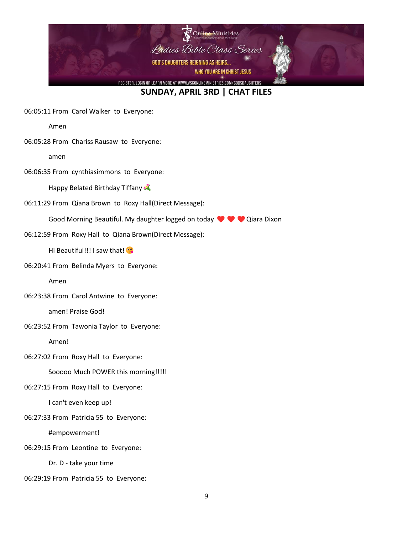

06:05:11 From Carol Walker to Everyone:

Amen

06:05:28 From Chariss Rausaw to Everyone:

amen

06:06:35 From cynthiasimmons to Everyone:

Happy Belated Birthday Tiffany

06:11:29 From Qiana Brown to Roxy Hall(Direct Message):

Good Morning Beautiful. My daughter logged on today  $\blacklozenge \blacklozenge$  Qiara Dixon

06:12:59 From Roxy Hall to Qiana Brown(Direct Message):

Hi Beautiful!!! I saw that!

06:20:41 From Belinda Myers to Everyone:

Amen

06:23:38 From Carol Antwine to Everyone:

amen! Praise God!

06:23:52 From Tawonia Taylor to Everyone:

Amen!

06:27:02 From Roxy Hall to Everyone:

Sooooo Much POWER this morning!!!!!

06:27:15 From Roxy Hall to Everyone:

I can't even keep up!

06:27:33 From Patricia 55 to Everyone:

#empowerment!

06:29:15 From Leontine to Everyone:

Dr. D - take your time

06:29:19 From Patricia 55 to Everyone: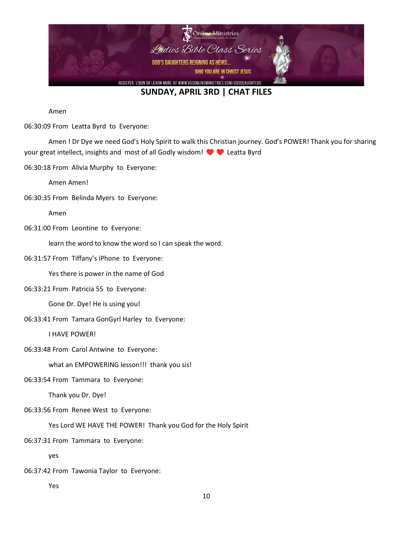

Amen

06:30:09 From Leatta Byrd to Everyone:

Amen ! Dr Dye we need God's Holy Spirit to walk this Christian journey. God's POWER! Thank you for sharing your great intellect, insights and most of all Godly wisdom!  $\blacklozenge \blacklozenge$  Leatta Byrd

06:30:18 From Alivia Murphy to Everyone:

Amen Amen!

06:30:35 From Belinda Myers to Everyone:

Amen

06:31:00 From Leontine to Everyone:

learn the word to know the word so I can speak the word.

06:31:57 From Tiffany's iPhone to Everyone:

Yes there is power in the name of God

06:33:21 From Patricia 55 to Everyone:

Gone Dr. Dye! He is using you!

06:33:41 From Tamara GonGyrl Harley to Everyone:

I HAVE POWER!

06:33:48 From Carol Antwine to Everyone:

what an EMPOWERING lesson!!! thank you sis!

06:33:54 From Tammara to Everyone:

Thank you Dr. Dye!

06:33:56 From Renee West to Everyone:

Yes Lord WE HAVE THE POWER! Thank you God for the Holy Spirit

06:37:31 From Tammara to Everyone:

yes

06:37:42 From Tawonia Taylor to Everyone:

Yes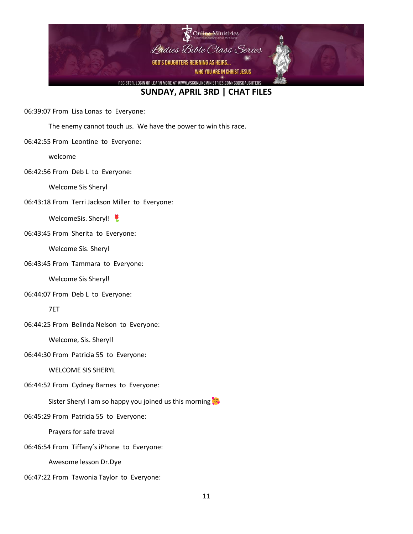

06:39:07 From Lisa Lonas to Everyone:

The enemy cannot touch us. We have the power to win this race.

06:42:55 From Leontine to Everyone:

welcome

06:42:56 From Deb L to Everyone:

Welcome Sis Sheryl

06:43:18 From Terri Jackson Miller to Everyone:

WelcomeSis. Sheryl!

06:43:45 From Sherita to Everyone:

Welcome Sis. Sheryl

06:43:45 From Tammara to Everyone:

Welcome Sis Sheryl!

06:44:07 From Deb L to Everyone:

7ET

06:44:25 From Belinda Nelson to Everyone:

Welcome, Sis. Sheryl!

06:44:30 From Patricia 55 to Everyone:

WELCOME SIS SHERYL

06:44:52 From Cydney Barnes to Everyone:

Sister Sheryl I am so happy you joined us this morning

06:45:29 From Patricia 55 to Everyone:

Prayers for safe travel

06:46:54 From Tiffany's iPhone to Everyone:

Awesome lesson Dr.Dye

06:47:22 From Tawonia Taylor to Everyone: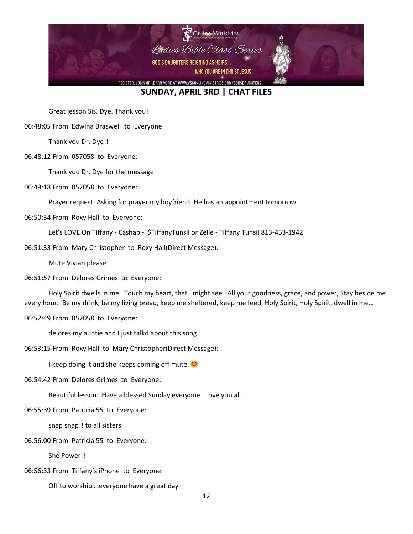

Great lesson Sis. Dye. Thank you!

06:48:05 From Edwina Braswell to Everyone:

Thank you Dr. Dye!!

06:48:12 From 057058 to Everyone:

Thank you Dr. Dye for the message

06:49:18 From 057058 to Everyone:

Prayer request: Asking for prayer my boyfriend. He has an appointment tomorrow.

06:50:34 From Roxy Hall to Everyone:

Let's LOVE On Tiffany - Cashap - \$TiffanyTunsil or Zelle - Tiffany Tunsil 813-453-1942

06:51:33 From Mary Christopher to Roxy Hall(Direct Message):

Mute Vivian please

06:51:57 From Delores Grimes to Everyone:

Holy Spirit dwells in me. Touch my heart, that I might see. All your goodness, grace, and power, Stay beside me every hour. Be my drink, be my living bread, keep me sheltered, keep me feed, Holy Spirit, Holy Spirit, dwell in me…

06:52:49 From 057058 to Everyone:

delores my auntie and I just talkd about this song

06:53:15 From Roxy Hall to Mary Christopher(Direct Message):

I keep doing it and she keeps coming off mute.  $\bullet$ 

06:54:42 From Delores Grimes to Everyone:

Beautiful lesson. Have a blessed Sunday everyone. Love you all.

06:55:39 From Patricia 55 to Everyone:

snap snap!! to all sisters

06:56:00 From Patricia 55 to Everyone:

She Power!!

06:56:33 From Tiffany's iPhone to Everyone:

Off to worship….everyone have a great day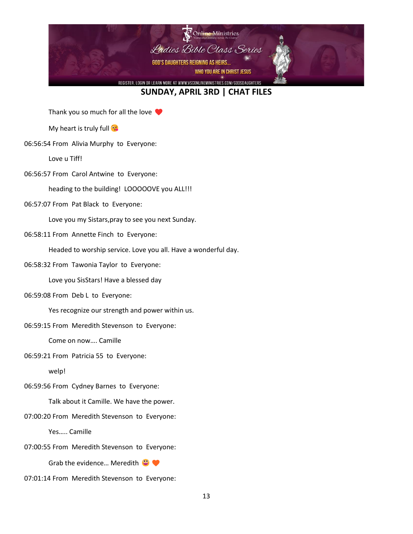

Thank you so much for all the love

**My heart is truly full of** 

06:56:54 From Alivia Murphy to Everyone:

Love u Tiff!

06:56:57 From Carol Antwine to Everyone:

heading to the building! LOOOOOVE you ALL!!!

06:57:07 From Pat Black to Everyone:

Love you my Sistars,pray to see you next Sunday.

06:58:11 From Annette Finch to Everyone:

Headed to worship service. Love you all. Have a wonderful day.

06:58:32 From Tawonia Taylor to Everyone:

Love you SisStars! Have a blessed day

06:59:08 From Deb L to Everyone:

Yes recognize our strength and power within us.

06:59:15 From Meredith Stevenson to Everyone:

Come on now…. Camille

06:59:21 From Patricia 55 to Everyone:

welp!

06:59:56 From Cydney Barnes to Everyone:

Talk about it Camille. We have the power.

07:00:20 From Meredith Stevenson to Everyone:

Yes….. Camille

07:00:55 From Meredith Stevenson to Everyone:

Grab the evidence... Meredith

07:01:14 From Meredith Stevenson to Everyone: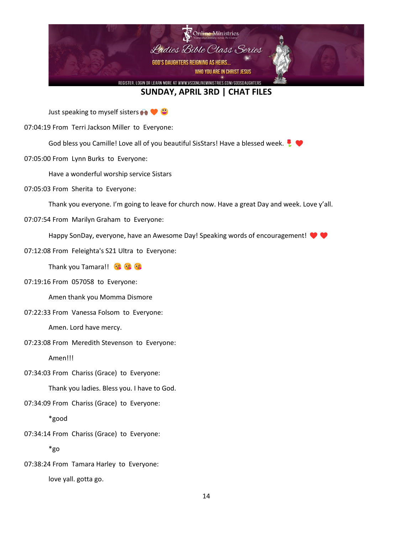

Just speaking to myself sisters  $\bullet \bullet \bullet$ 

07:04:19 From Terri Jackson Miller to Everyone:

God bless you Camille! Love all of you beautiful SisStars! Have a blessed week.

07:05:00 From Lynn Burks to Everyone:

Have a wonderful worship service Sistars

07:05:03 From Sherita to Everyone:

Thank you everyone. I'm going to leave for church now. Have a great Day and week. Love y'all.

07:07:54 From Marilyn Graham to Everyone:

Happy SonDay, everyone, have an Awesome Day! Speaking words of encouragement!

07:12:08 From Feleighta's S21 Ultra to Everyone:

Thank you Tamara!!

07:19:16 From 057058 to Everyone:

Amen thank you Momma Dismore

07:22:33 From Vanessa Folsom to Everyone:

Amen. Lord have mercy.

07:23:08 From Meredith Stevenson to Everyone:

Amen!!!

07:34:03 From Chariss (Grace) to Everyone:

Thank you ladies. Bless you. I have to God.

07:34:09 From Chariss (Grace) to Everyone:

\*good

07:34:14 From Chariss (Grace) to Everyone:

\*go

07:38:24 From Tamara Harley to Everyone: love yall. gotta go.